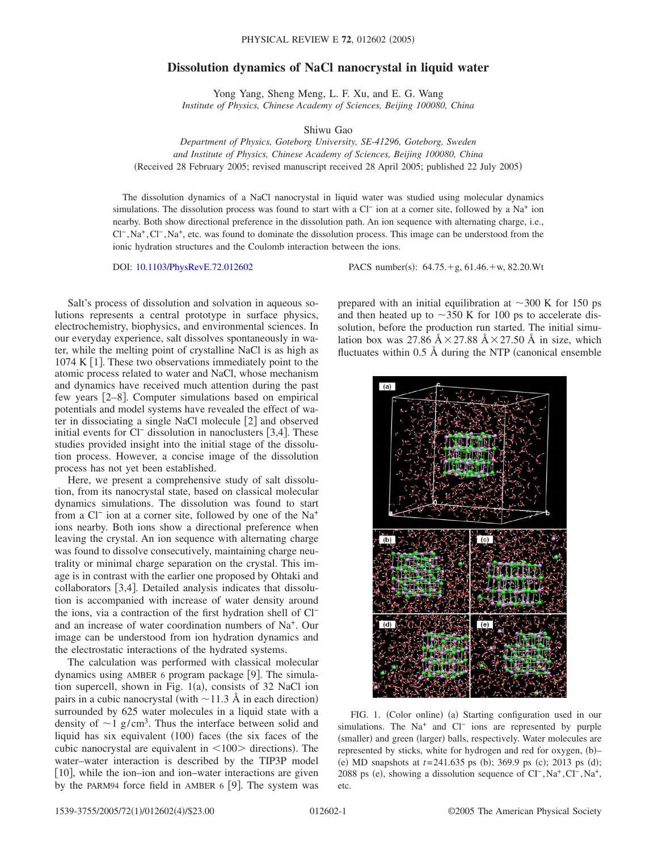## **Dissolution dynamics of NaCl nanocrystal in liquid water**

Yong Yang, Sheng Meng, L. F. Xu, and E. G. Wang *Institute of Physics, Chinese Academy of Sciences, Beijing 100080, China*

Shiwu Gao

*Department of Physics, Goteborg University, SE-41296, Goteborg, Sweden and Institute of Physics, Chinese Academy of Sciences, Beijing 100080, China* (Received 28 February 2005; revised manuscript received 28 April 2005; published 22 July 2005)

The dissolution dynamics of a NaCl nanocrystal in liquid water was studied using molecular dynamics simulations. The dissolution process was found to start with a Cl<sup>−</sup> ion at a corner site, followed by a Na<sup>+</sup> ion nearby. Both show directional preference in the dissolution path. An ion sequence with alternating charge, i.e., Cl<sup>−</sup> ,Na<sup>+</sup> ,Cl− ,Na+, etc. was found to dominate the dissolution process. This image can be understood from the ionic hydration structures and the Coulomb interaction between the ions.

DOI: [10.1103/PhysRevE.72.012602](http://dx.doi.org/10.1103/PhysRevE.72.012602)

PACS number(s):  $64.75.+g$ ,  $61.46.+w$ ,  $82.20.Wt$ 

Salt's process of dissolution and solvation in aqueous solutions represents a central prototype in surface physics, electrochemistry, biophysics, and environmental sciences. In our everyday experience, salt dissolves spontaneously in water, while the melting point of crystalline NaCl is as high as 1074 K  $\lceil$ 1. These two observations immediately point to the atomic process related to water and NaCl, whose mechanism and dynamics have received much attention during the past few years [2–8]. Computer simulations based on empirical potentials and model systems have revealed the effect of water in dissociating a single NaCl molecule  $[2]$  and observed initial events for Cl<sup>−</sup> dissolution in nanoclusters [3,4]. These studies provided insight into the initial stage of the dissolution process. However, a concise image of the dissolution process has not yet been established.

Here, we present a comprehensive study of salt dissolution, from its nanocrystal state, based on classical molecular dynamics simulations. The dissolution was found to start from a Cl<sup>−</sup> ion at a corner site, followed by one of the Na<sup>+</sup> ions nearby. Both ions show a directional preference when leaving the crystal. An ion sequence with alternating charge was found to dissolve consecutively, maintaining charge neutrality or minimal charge separation on the crystal. This image is in contrast with the earlier one proposed by Ohtaki and collaborators  $[3,4]$ . Detailed analysis indicates that dissolution is accompanied with increase of water density around the ions, via a contraction of the first hydration shell of Cl− and an increase of water coordination numbers of Na+. Our image can be understood from ion hydration dynamics and the electrostatic interactions of the hydrated systems.

The calculation was performed with classical molecular dynamics using AMBER 6 program package  $[9]$ . The simulation supercell, shown in Fig. 1(a), consists of 32 NaCl ion pairs in a cubic nanocrystal (with  $\sim$ 11.3 Å in each direction) surrounded by 625 water molecules in a liquid state with a density of  $\sim$ 1 g/cm<sup>3</sup>. Thus the interface between solid and liquid has six equivalent (100) faces (the six faces of the cubic nanocrystal are equivalent in  $\langle 100 \rangle$  directions). The water–water interaction is described by the TIP3P model [10], while the ion–ion and ion–water interactions are given by the PARM94 force field in AMBER  $6$  [9]. The system was

prepared with an initial equilibration at  $\sim$ 300 K for 150 ps and then heated up to  $\sim$ 350 K for 100 ps to accelerate dissolution, before the production run started. The initial simulation box was 27.86  $A \times 27.88$   $A \times 27.50$  Å in size, which fluctuates within  $0.5 \text{ Å}$  during the NTP (canonical ensemble



FIG. 1. (Color online) (a) Starting configuration used in our simulations. The Na<sup>+</sup> and Cl<sup>−</sup> ions are represented by purple (smaller) and green (larger) balls, respectively. Water molecules are represented by sticks, white for hydrogen and red for oxygen, (b)-(e) MD snapshots at  $t = 241.635$  ps (b); 369.9 ps (c); 2013 ps (d); 2088 ps (e), showing a dissolution sequence of CI<sup>−</sup>,Na<sup>+</sup>,CI<sup>−</sup>,Na<sup>+</sup>, etc.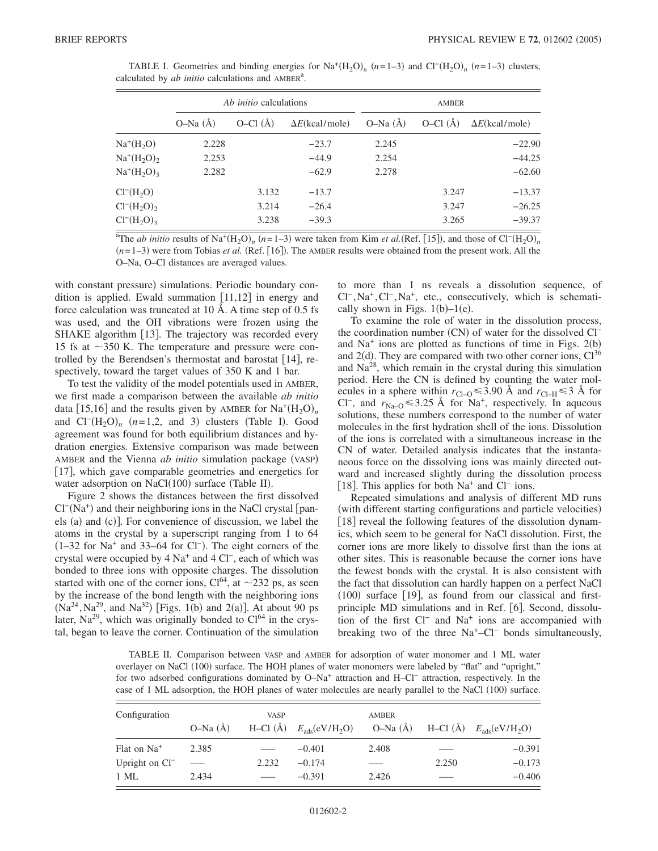|                      |           | <i>Ab initio</i> calculations |                        | <b>AMBER</b> |           |                        |  |
|----------------------|-----------|-------------------------------|------------------------|--------------|-----------|------------------------|--|
|                      | $O-Na(A)$ | $O-Cl$ (Å)                    | $\Delta E$ (kcal/mole) | $O-Na(A)$    | $O-Cl(A)$ | $\Delta E$ (kcal/mole) |  |
| $Na^+(H_2O)$         | 2.228     |                               | $-23.7$                | 2.245        |           | $-22.90$               |  |
| $Na^+(H_2O)_2$       | 2.253     |                               | $-44.9$                | 2.254        |           | $-44.25$               |  |
| $Na^+(H_2O)_3$       | 2.282     |                               | $-62.9$                | 2.278        |           | $-62.60$               |  |
| $Cl^{-}(H_{2}O)$     |           | 3.132                         | $-13.7$                |              | 3.247     | $-13.37$               |  |
| $Cl^{-}(H_{2}O)_{2}$ |           | 3.214                         | $-26.4$                |              | 3.247     | $-26.25$               |  |
| $Cl^{-}(H_{2}O)_{3}$ |           | 3.238                         | $-39.3$                |              | 3.265     | $-39.37$               |  |

TABLE I. Geometries and binding energies for  $\text{Na}^+(H_2O)_n$  (*n*=1–3) and Cl<sup>−</sup>(H<sub>2</sub>O)<sub>*n*</sub> (*n*=1–3) clusters, calculated by  $ab$  initio calculations and  $AMBER<sup>a</sup>$ .

 $\frac{\pi}{2}$ The *ab initio* results of Na<sup>+</sup>(H<sub>2</sub>O)<sub>n</sub> (n=1–3) were taken from Kim *et al.*(Ref. [15]), and those of Cl<sup>−</sup>(H<sub>2</sub>O)<sub>n</sub>  $(n=1-3)$  were from Tobias *et al.* (Ref. [16]). The AMBER results were obtained from the present work. All the O–Na, O–Cl distances are averaged values.

with constant pressure) simulations. Periodic boundary condition is applied. Ewald summation  $[11,12]$  in energy and force calculation was truncated at 10 Å. A time step of 0.5 fs was used, and the OH vibrations were frozen using the SHAKE algorithm  $[13]$ . The trajectory was recorded every 15 fs at  $\sim$ 350 K. The temperature and pressure were controlled by the Berendsen's thermostat and barostat  $[14]$ , respectively, toward the target values of 350 K and 1 bar.

To test the validity of the model potentials used in AMBER, we first made a comparison between the available *ab initio* data [15,16] and the results given by AMBER for  $\text{Na}^+(H_2O)_n$ and  $Cl^-(H_2O)_n$   $(n=1,2,$  and 3) clusters (Table I). Good agreement was found for both equilibrium distances and hydration energies. Extensive comparison was made between AMBER and the Vienna *ab initio* simulation package (VASP) [17], which gave comparable geometries and energetics for water adsorption on NaCl(100) surface (Table II).

Figure 2 shows the distances between the first dissolved Cl<sup>-</sup>(Na<sup>+</sup>) and their neighboring ions in the NaCl crystal [panels (a) and (c)]. For convenience of discussion, we label the atoms in the crystal by a superscript ranging from 1 to 64 (1–32 for Na<sup>+</sup> and 33–64 for Cl<sup>−</sup>). The eight corners of the crystal were occupied by 4 Na+ and 4 Cl−, each of which was bonded to three ions with opposite charges. The dissolution started with one of the corner ions,  $Cl<sup>64</sup>$ , at  $\sim$  232 ps, as seen by the increase of the bond length with the neighboring ions  $(Na^{24}, Na^{29}, and Na^{32})$  [Figs. 1(b) and 2(a)]. At about 90 ps later,  $Na^{29}$ , which was originally bonded to  $Cl<sup>64</sup>$  in the crystal, began to leave the corner. Continuation of the simulation to more than 1 ns reveals a dissolution sequence, of Cl− ,Na+ ,Cl− ,Na+, etc., consecutively, which is schematically shown in Figs.  $1(b)-1(e)$ .

To examine the role of water in the dissolution process, the coordination number (CN) of water for the dissolved Cl<sup>−</sup> and  $Na<sup>+</sup>$  ions are plotted as functions of time in Figs. 2(b) and  $2(d)$ . They are compared with two other corner ions,  $Cl^{36}$ and  $Na<sup>28</sup>$ , which remain in the crystal during this simulation period. Here the CN is defined by counting the water molecules in a sphere within  $r_{\text{Cl}-0} \leq 3.90$  Å and  $r_{\text{Cl}-H} \leq 3$  Å for Cl<sup>−</sup>, and  $r_{\text{Na}-\text{O}}$  ≤ 3.25 Å for Na<sup>+</sup>, respectively. In aqueous solutions, these numbers correspond to the number of water molecules in the first hydration shell of the ions. Dissolution of the ions is correlated with a simultaneous increase in the CN of water. Detailed analysis indicates that the instantaneous force on the dissolving ions was mainly directed outward and increased slightly during the dissolution process [18]. This applies for both Na<sup>+</sup> and Cl<sup>−</sup> ions.

Repeated simulations and analysis of different MD runs (with different starting configurations and particle velocities) 18 reveal the following features of the dissolution dynamics, which seem to be general for NaCl dissolution. First, the corner ions are more likely to dissolve first than the ions at other sites. This is reasonable because the corner ions have the fewest bonds with the crystal. It is also consistent with the fact that dissolution can hardly happen on a perfect NaCl (100) surface [19], as found from our classical and firstprinciple MD simulations and in Ref. [6]. Second, dissolution of the first Cl− and Na+ ions are accompanied with breaking two of the three  $Na<sup>+</sup>-Cl<sup>-</sup>$  bonds simultaneously,

TABLE II. Comparison between VASP and AMBER for adsorption of water monomer and 1 ML water overlayer on NaCl (100) surface. The HOH planes of water monomers were labeled by "flat" and "upright," for two adsorbed configurations dominated by O–Na+ attraction and H–Cl− attraction, respectively. In the case of 1 ML adsorption, the HOH planes of water molecules are nearly parallel to the NaCl (100) surface.

| Configuration              | <b>VASP</b> |       |                                     | <b>AMBER</b> |       |                                                     |
|----------------------------|-------------|-------|-------------------------------------|--------------|-------|-----------------------------------------------------|
|                            | $O-Na(A)$   |       | H-Cl $(\rm \AA)$ $E_{ads}(eV/H_2O)$ |              |       | O-Na $(\AA)$ H-Cl $(\AA)$ $E_{\text{ads}}(eV/H_2O)$ |
| Flat on Na <sup>+</sup>    | 2.385       |       | $-0.401$                            | 2.408        |       | $-0.391$                                            |
| Upright on Cl <sup>-</sup> |             | 2.232 | $-0.174$                            |              | 2.250 | $-0.173$                                            |
| $1$ ML                     | 2.434       |       | $-0.391$                            | 2.426        |       | $-0.406$                                            |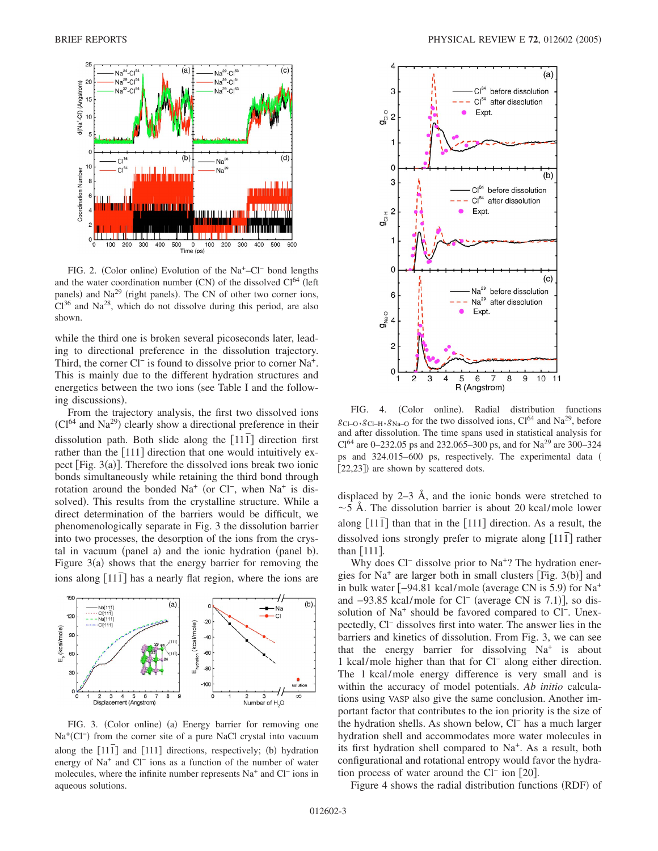

FIG. 2. (Color online) Evolution of the Na<sup>+</sup>–Cl<sup>−</sup> bond lengths and the water coordination number  $(CN)$  of the dissolved  $Cl<sup>64</sup>$  (left panels) and Na<sup>29</sup> (right panels). The CN of other two corner ions,  $Cl<sup>36</sup>$  and Na<sup>28</sup>, which do not dissolve during this period, are also shown.

while the third one is broken several picoseconds later, leading to directional preference in the dissolution trajectory. Third, the corner Cl<sup>−</sup> is found to dissolve prior to corner Na<sup>+</sup>. This is mainly due to the different hydration structures and energetics between the two ions (see Table I and the following discussions).

From the trajectory analysis, the first two dissolved ions  $\rm (Cl^{64}$  and Na<sup>29</sup>) clearly show a directional preference in their dissolution path. Both slide along the 111*¯* direction first rather than the 1111 direction that one would intuitively expect [Fig. 3(a)]. Therefore the dissolved ions break two ionic bonds simultaneously while retaining the third bond through rotation around the bonded Na<sup>+</sup> (or Cl<sup>−</sup>, when Na<sup>+</sup> is dissolved). This results from the crystalline structure. While a direct determination of the barriers would be difficult, we phenomenologically separate in Fig. 3 the dissolution barrier into two processes, the desorption of the ions from the crystal in vacuum (panel a) and the ionic hydration (panel b). Figure  $3(a)$  shows that the energy barrier for removing the ions along [111<sup>]</sup> has a nearly flat region, where the ions are



FIG. 3. (Color online) (a) Energy barrier for removing one Na<sup>+</sup>(Cl<sup>−</sup>) from the corner site of a pure NaCl crystal into vacuum along the  $[11\bar{1}]$  and  $[111]$  directions, respectively; (b) hydration energy of Na+ and Cl− ions as a function of the number of water molecules, where the infinite number represents Na+ and Cl− ions in aqueous solutions.



FIG. 4. (Color online). Radial distribution functions  $g_{\text{Cl}-\text{O}}$ ,  $g_{\text{Cl}-\text{H}}$ ,  $g_{\text{Na}-\text{O}}$  for the two dissolved ions,  $\text{Cl}^{64}$  and  $\text{Na}^{29}$ , before and after dissolution. The time spans used in statistical analysis for  $Cl<sup>64</sup>$  are 0–232.05 ps and 232.065–300 ps, and for Na<sup>29</sup> are 300–324 ps and 324.015–600 ps, respectively. The experimental data [22,23]) are shown by scattered dots.

displaced by 2–3 Å, and the ionic bonds were stretched to  $\sim$  5 Å. The dissolution barrier is about 20 kcal/mole lower along [111] than that in the [111] direction. As a result, the dissolved ions strongly prefer to migrate along 111*¯* rather than  $[111]$ .

Why does Cl<sup>−</sup> dissolve prior to Na<sup>+</sup>? The hydration energies for  $Na<sup>+</sup>$  are larger both in small clusters [Fig. 3(b)] and in bulk water  $[-94.81 \text{ kcal/mole}$  (average CN is 5.9) for Na<sup>+</sup> and -93.85 kcal/mole for Cl<sup>−</sup> (average CN is 7.1)], so dissolution of Na<sup>+</sup> should be favored compared to Cl<sup>−</sup>. Unexpectedly, Cl− dissolves first into water. The answer lies in the barriers and kinetics of dissolution. From Fig. 3, we can see that the energy barrier for dissolving  $Na<sup>+</sup>$  is about 1 kcal/mole higher than that for Cl− along either direction. The 1 kcal/mole energy difference is very small and is within the accuracy of model potentials. *Ab initio* calculations using VASP also give the same conclusion. Another important factor that contributes to the ion priority is the size of the hydration shells. As shown below, Cl− has a much larger hydration shell and accommodates more water molecules in its first hydration shell compared to Na+. As a result, both configurational and rotational entropy would favor the hydration process of water around the Cl<sup>−</sup> ion [20].

Figure 4 shows the radial distribution functions (RDF) of